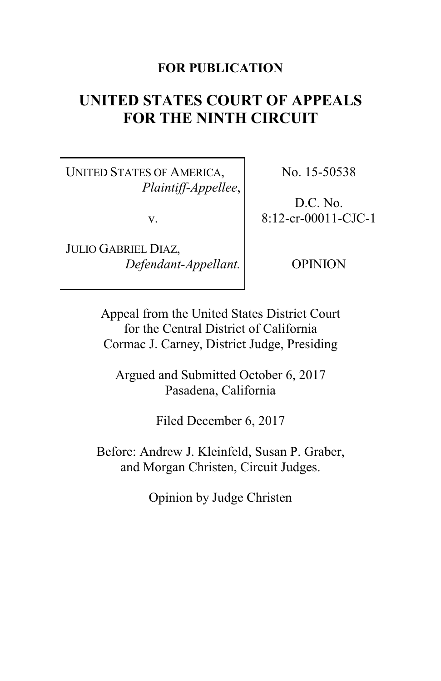### **FOR PUBLICATION**

# **UNITED STATES COURT OF APPEALS FOR THE NINTH CIRCUIT**

UNITED STATES OF AMERICA, *Plaintiff-Appellee*,

v.

JULIO GABRIEL DIAZ, *Defendant-Appellant.* No. 15-50538

D.C. No. 8:12-cr-00011-CJC-1

OPINION

Appeal from the United States District Court for the Central District of California Cormac J. Carney, District Judge, Presiding

Argued and Submitted October 6, 2017 Pasadena, California

Filed December 6, 2017

Before: Andrew J. Kleinfeld, Susan P. Graber, and Morgan Christen, Circuit Judges.

Opinion by Judge Christen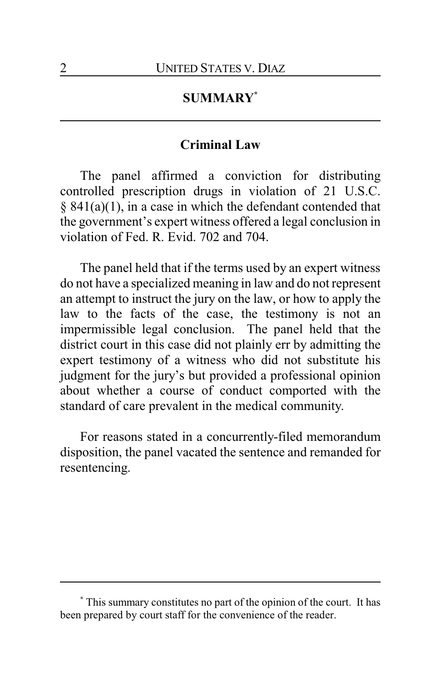# **SUMMARY\***

### **Criminal Law**

The panel affirmed a conviction for distributing controlled prescription drugs in violation of 21 U.S.C. § 841(a)(1), in a case in which the defendant contended that the government's expert witness offered a legal conclusion in violation of Fed. R. Evid. 702 and 704.

The panel held that if the terms used by an expert witness do not have a specialized meaning in law and do not represent an attempt to instruct the jury on the law, or how to apply the law to the facts of the case, the testimony is not an impermissible legal conclusion. The panel held that the district court in this case did not plainly err by admitting the expert testimony of a witness who did not substitute his judgment for the jury's but provided a professional opinion about whether a course of conduct comported with the standard of care prevalent in the medical community.

For reasons stated in a concurrently-filed memorandum disposition, the panel vacated the sentence and remanded for resentencing.

**<sup>\*</sup>** This summary constitutes no part of the opinion of the court. It has been prepared by court staff for the convenience of the reader.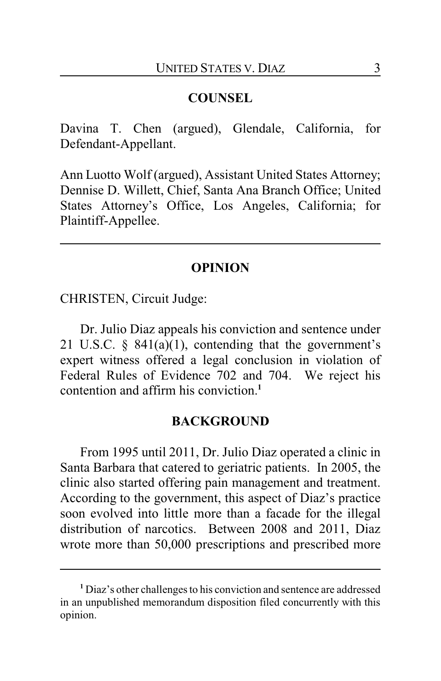### **COUNSEL**

Davina T. Chen (argued), Glendale, California, for Defendant-Appellant.

Ann Luotto Wolf (argued), Assistant United States Attorney; Dennise D. Willett, Chief, Santa Ana Branch Office; United States Attorney's Office, Los Angeles, California; for Plaintiff-Appellee.

### **OPINION**

CHRISTEN, Circuit Judge:

Dr. Julio Diaz appeals his conviction and sentence under 21 U.S.C.  $\S$  841(a)(1), contending that the government's expert witness offered a legal conclusion in violation of Federal Rules of Evidence 702 and 704. We reject his contention and affirm his conviction.**<sup>1</sup>**

#### **BACKGROUND**

From 1995 until 2011, Dr. Julio Diaz operated a clinic in Santa Barbara that catered to geriatric patients. In 2005, the clinic also started offering pain management and treatment. According to the government, this aspect of Diaz's practice soon evolved into little more than a facade for the illegal distribution of narcotics. Between 2008 and 2011, Diaz wrote more than 50,000 prescriptions and prescribed more

**<sup>1</sup>** Diaz's other challenges to his conviction and sentence are addressed in an unpublished memorandum disposition filed concurrently with this opinion.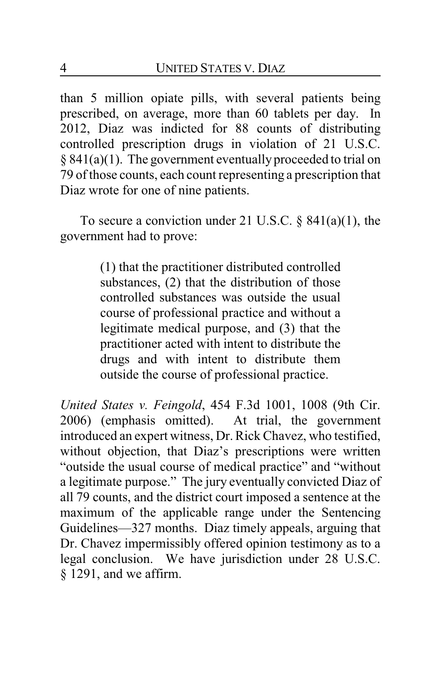than 5 million opiate pills, with several patients being prescribed, on average, more than 60 tablets per day. In 2012, Diaz was indicted for 88 counts of distributing controlled prescription drugs in violation of 21 U.S.C. § 841(a)(1). The government eventually proceeded to trial on 79 of those counts, each count representing a prescription that Diaz wrote for one of nine patients.

To secure a conviction under 21 U.S.C.  $\S$  841(a)(1), the government had to prove:

> (1) that the practitioner distributed controlled substances, (2) that the distribution of those controlled substances was outside the usual course of professional practice and without a legitimate medical purpose, and (3) that the practitioner acted with intent to distribute the drugs and with intent to distribute them outside the course of professional practice.

*United States v. Feingold*, 454 F.3d 1001, 1008 (9th Cir. 2006) (emphasis omitted). At trial, the government introduced an expert witness, Dr. Rick Chavez, who testified, without objection, that Diaz's prescriptions were written "outside the usual course of medical practice" and "without a legitimate purpose." The jury eventually convicted Diaz of all 79 counts, and the district court imposed a sentence at the maximum of the applicable range under the Sentencing Guidelines—327 months. Diaz timely appeals, arguing that Dr. Chavez impermissibly offered opinion testimony as to a legal conclusion. We have jurisdiction under 28 U.S.C. § 1291, and we affirm.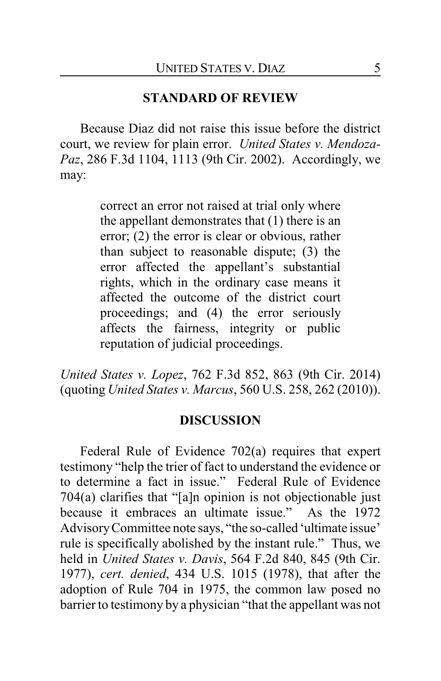# **STANDARD OF REVIEW**

Because Diaz did not raise this issue before the district court, we review for plain error. *United States v. Mendoza-Paz*, 286 F.3d 1104, 1113 (9th Cir. 2002). Accordingly, we may:

> correct an error not raised at trial only where the appellant demonstrates that (1) there is an error; (2) the error is clear or obvious, rather than subject to reasonable dispute; (3) the error affected the appellant's substantial rights, which in the ordinary case means it affected the outcome of the district court proceedings; and (4) the error seriously affects the fairness, integrity or public reputation of judicial proceedings.

*United States v. Lopez*, 762 F.3d 852, 863 (9th Cir. 2014) (quoting *United States v. Marcus*, 560 U.S. 258, 262 (2010)).

#### **DISCUSSION**

Federal Rule of Evidence 702(a) requires that expert testimony "help the trier of fact to understand the evidence or to determine a fact in issue." Federal Rule of Evidence 704(a) clarifies that "[a]n opinion is not objectionable just because it embraces an ultimate issue." As the 1972 AdvisoryCommittee note says, "the so-called 'ultimate issue' rule is specifically abolished by the instant rule." Thus, we held in *United States v. Davis*, 564 F.2d 840, 845 (9th Cir. 1977), *cert. denied*, 434 U.S. 1015 (1978), that after the adoption of Rule 704 in 1975, the common law posed no barrier to testimony by a physician "that the appellant was not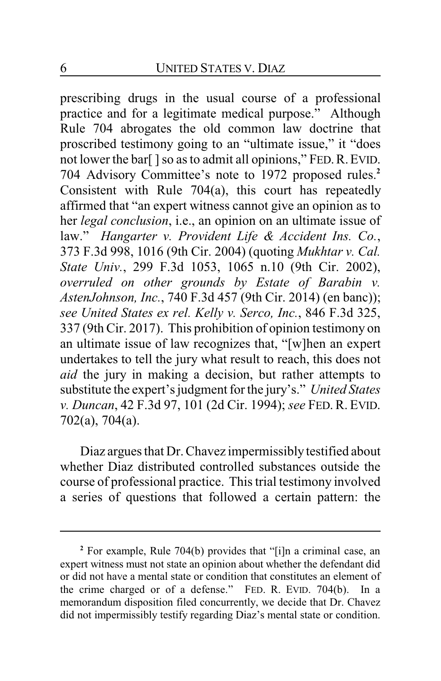prescribing drugs in the usual course of a professional practice and for a legitimate medical purpose." Although Rule 704 abrogates the old common law doctrine that proscribed testimony going to an "ultimate issue," it "does not lower the bar[] so as to admit all opinions," FED. R. EVID. 704 Advisory Committee's note to 1972 proposed rules.**<sup>2</sup>** Consistent with Rule 704(a), this court has repeatedly affirmed that "an expert witness cannot give an opinion as to her *legal conclusion*, i.e., an opinion on an ultimate issue of law." *Hangarter v. Provident Life & Accident Ins. Co.*, 373 F.3d 998, 1016 (9th Cir. 2004) (quoting *Mukhtar v. Cal. State Univ.*, 299 F.3d 1053, 1065 n.10 (9th Cir. 2002), *overruled on other grounds by Estate of Barabin v. AstenJohnson, Inc.*, 740 F.3d 457 (9th Cir. 2014) (en banc)); *see United States ex rel. Kelly v. Serco, Inc.*, 846 F.3d 325, 337 (9th Cir. 2017). This prohibition of opinion testimony on an ultimate issue of law recognizes that, "[w]hen an expert undertakes to tell the jury what result to reach, this does not *aid* the jury in making a decision, but rather attempts to substitute the expert's judgment for the jury's." *United States v. Duncan*, 42 F.3d 97, 101 (2d Cir. 1994); *see* FED. R. EVID. 702(a), 704(a).

Diaz argues that Dr. Chavez impermissibly testified about whether Diaz distributed controlled substances outside the course of professional practice. This trial testimony involved a series of questions that followed a certain pattern: the

**<sup>2</sup>** For example, Rule 704(b) provides that "[i]n a criminal case, an expert witness must not state an opinion about whether the defendant did or did not have a mental state or condition that constitutes an element of the crime charged or of a defense." FED. R. EVID. 704(b). In a memorandum disposition filed concurrently, we decide that Dr. Chavez did not impermissibly testify regarding Diaz's mental state or condition.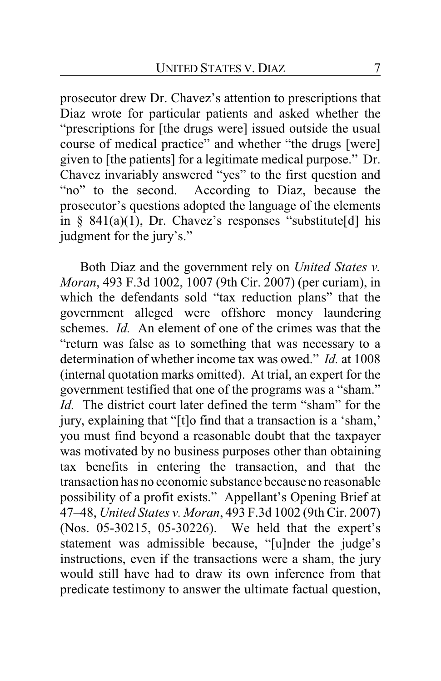prosecutor drew Dr. Chavez's attention to prescriptions that Diaz wrote for particular patients and asked whether the "prescriptions for [the drugs were] issued outside the usual course of medical practice" and whether "the drugs [were] given to [the patients] for a legitimate medical purpose." Dr. Chavez invariably answered "yes" to the first question and "no" to the second. According to Diaz, because the prosecutor's questions adopted the language of the elements in § 841(a)(1), Dr. Chavez's responses "substitute[d] his judgment for the jury's."

Both Diaz and the government rely on *United States v. Moran*, 493 F.3d 1002, 1007 (9th Cir. 2007) (per curiam), in which the defendants sold "tax reduction plans" that the government alleged were offshore money laundering schemes. *Id.* An element of one of the crimes was that the "return was false as to something that was necessary to a determination of whether income tax was owed." *Id.* at 1008 (internal quotation marks omitted). At trial, an expert for the government testified that one of the programs was a "sham." *Id.* The district court later defined the term "sham" for the jury, explaining that "[t]o find that a transaction is a 'sham,' you must find beyond a reasonable doubt that the taxpayer was motivated by no business purposes other than obtaining tax benefits in entering the transaction, and that the transaction has no economic substance because no reasonable possibility of a profit exists." Appellant's Opening Brief at 47–48, *United States v. Moran*, 493 F.3d 1002 (9th Cir. 2007) (Nos. 05-30215, 05-30226). We held that the expert's statement was admissible because, "[u]nder the judge's instructions, even if the transactions were a sham, the jury would still have had to draw its own inference from that predicate testimony to answer the ultimate factual question,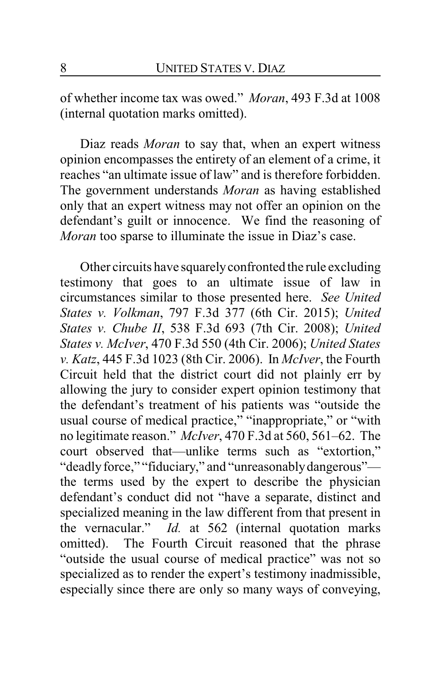of whether income tax was owed." *Moran*, 493 F.3d at 1008 (internal quotation marks omitted).

Diaz reads *Moran* to say that, when an expert witness opinion encompasses the entirety of an element of a crime, it reaches "an ultimate issue of law" and is therefore forbidden. The government understands *Moran* as having established only that an expert witness may not offer an opinion on the defendant's guilt or innocence. We find the reasoning of *Moran* too sparse to illuminate the issue in Diaz's case.

Other circuits have squarelyconfronted the rule excluding testimony that goes to an ultimate issue of law in circumstances similar to those presented here. *See United States v. Volkman*, 797 F.3d 377 (6th Cir. 2015); *United States v. Chube II*, 538 F.3d 693 (7th Cir. 2008); *United States v. McIver*, 470 F.3d 550 (4th Cir. 2006); *United States v. Katz*, 445 F.3d 1023 (8th Cir. 2006). In *McIver*, the Fourth Circuit held that the district court did not plainly err by allowing the jury to consider expert opinion testimony that the defendant's treatment of his patients was "outside the usual course of medical practice," "inappropriate," or "with no legitimate reason." *McIver*, 470 F.3d at 560, 561–62. The court observed that—unlike terms such as "extortion," "deadly force," "fiduciary," and "unreasonably dangerous" the terms used by the expert to describe the physician defendant's conduct did not "have a separate, distinct and specialized meaning in the law different from that present in the vernacular." *Id.* at 562 (internal quotation marks omitted). The Fourth Circuit reasoned that the phrase "outside the usual course of medical practice" was not so specialized as to render the expert's testimony inadmissible, especially since there are only so many ways of conveying,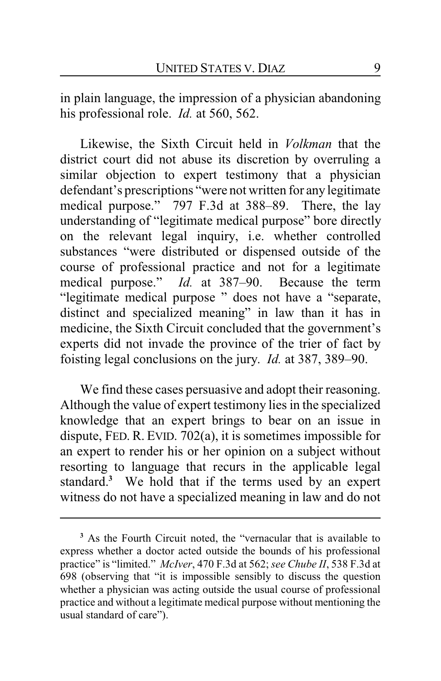in plain language, the impression of a physician abandoning his professional role. *Id.* at 560, 562.

Likewise, the Sixth Circuit held in *Volkman* that the district court did not abuse its discretion by overruling a similar objection to expert testimony that a physician defendant's prescriptions "were not written for any legitimate medical purpose." 797 F.3d at 388–89. There, the lay understanding of "legitimate medical purpose" bore directly on the relevant legal inquiry, i.e. whether controlled substances "were distributed or dispensed outside of the course of professional practice and not for a legitimate medical purpose." *Id.* at 387–90. Because the term "legitimate medical purpose " does not have a "separate, distinct and specialized meaning" in law than it has in medicine, the Sixth Circuit concluded that the government's experts did not invade the province of the trier of fact by foisting legal conclusions on the jury. *Id.* at 387, 389–90.

We find these cases persuasive and adopt their reasoning. Although the value of expert testimony lies in the specialized knowledge that an expert brings to bear on an issue in dispute, FED. R. EVID. 702(a), it is sometimes impossible for an expert to render his or her opinion on a subject without resorting to language that recurs in the applicable legal standard.**<sup>3</sup>** We hold that if the terms used by an expert witness do not have a specialized meaning in law and do not

**<sup>3</sup>** As the Fourth Circuit noted, the "vernacular that is available to express whether a doctor acted outside the bounds of his professional practice" is "limited." *McIver*, 470 F.3d at 562; *see Chube II*, 538 F.3d at 698 (observing that "it is impossible sensibly to discuss the question whether a physician was acting outside the usual course of professional practice and without a legitimate medical purpose without mentioning the usual standard of care").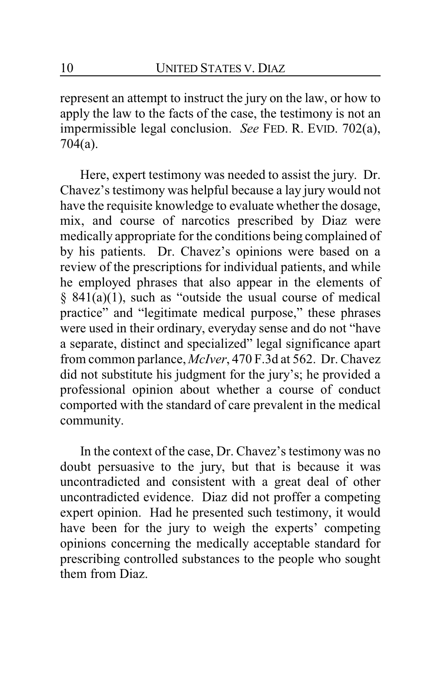represent an attempt to instruct the jury on the law, or how to apply the law to the facts of the case, the testimony is not an impermissible legal conclusion. *See* FED. R. EVID. 702(a), 704(a).

Here, expert testimony was needed to assist the jury. Dr. Chavez's testimony was helpful because a lay jury would not have the requisite knowledge to evaluate whether the dosage, mix, and course of narcotics prescribed by Diaz were medically appropriate for the conditions being complained of by his patients. Dr. Chavez's opinions were based on a review of the prescriptions for individual patients, and while he employed phrases that also appear in the elements of § 841(a)(1), such as "outside the usual course of medical practice" and "legitimate medical purpose," these phrases were used in their ordinary, everyday sense and do not "have a separate, distinct and specialized" legal significance apart from common parlance, *McIver*, 470 F.3d at 562. Dr. Chavez did not substitute his judgment for the jury's; he provided a professional opinion about whether a course of conduct comported with the standard of care prevalent in the medical community.

In the context of the case, Dr. Chavez's testimony was no doubt persuasive to the jury, but that is because it was uncontradicted and consistent with a great deal of other uncontradicted evidence. Diaz did not proffer a competing expert opinion. Had he presented such testimony, it would have been for the jury to weigh the experts' competing opinions concerning the medically acceptable standard for prescribing controlled substances to the people who sought them from Diaz.